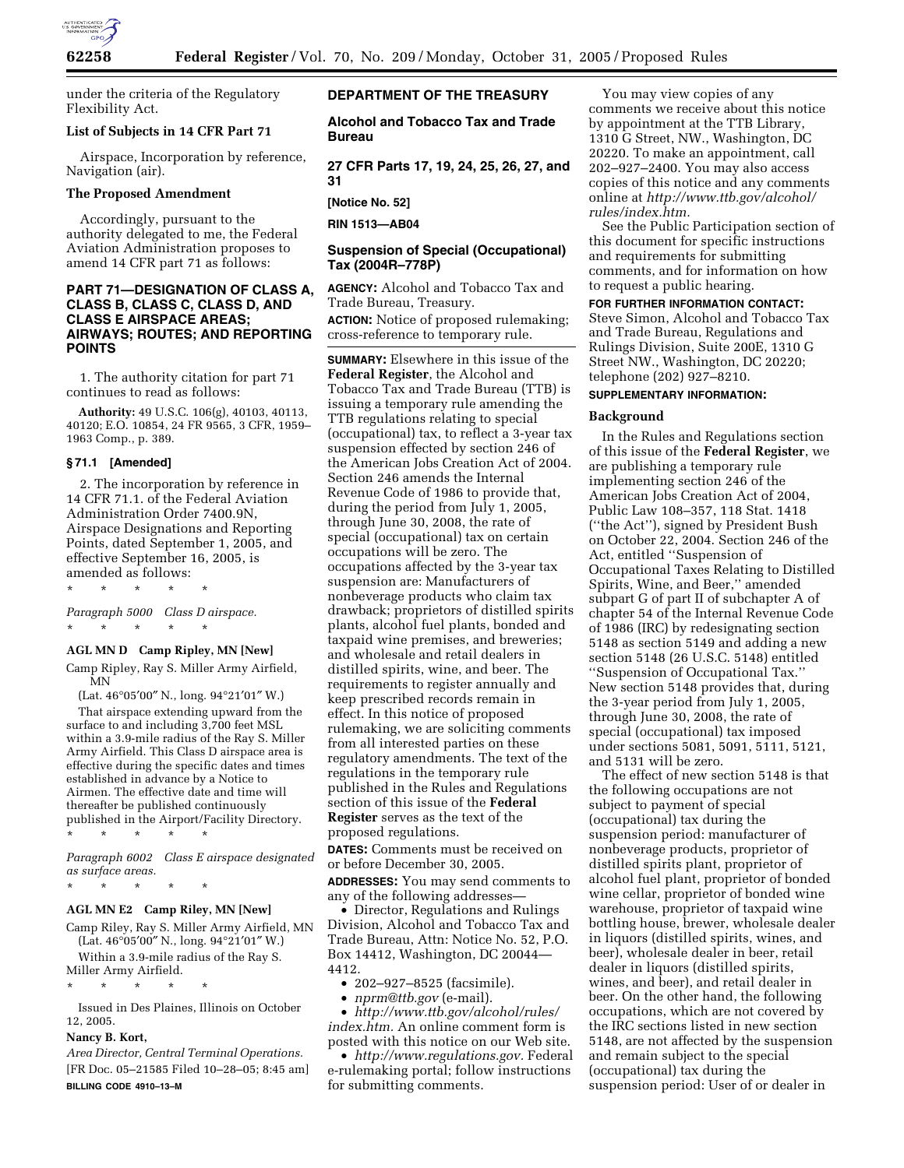

under the criteria of the Regulatory Flexibility Act.

## **List of Subjects in 14 CFR Part 71**

Airspace, Incorporation by reference, Navigation (air).

## **The Proposed Amendment**

Accordingly, pursuant to the authority delegated to me, the Federal Aviation Administration proposes to amend 14 CFR part 71 as follows:

# **PART 71—DESIGNATION OF CLASS A, CLASS B, CLASS C, CLASS D, AND CLASS E AIRSPACE AREAS; AIRWAYS; ROUTES; AND REPORTING POINTS**

1. The authority citation for part 71 continues to read as follows:

**Authority:** 49 U.S.C. 106(g), 40103, 40113, 40120; E.O. 10854, 24 FR 9565, 3 CFR, 1959– 1963 Comp., p. 389.

## **§ 71.1 [Amended]**

2. The incorporation by reference in 14 CFR 71.1. of the Federal Aviation Administration Order 7400.9N, Airspace Designations and Reporting Points, dated September 1, 2005, and effective September 16, 2005, is amended as follows:

\* \* \* \* \* *Paragraph 5000 Class D airspace.* 

\* \* \* \* \*

## **AGL MN D Camp Ripley, MN [New]**

Camp Ripley, Ray S. Miller Army Airfield, MN

(Lat. 46°05′00″ N., long. 94°21′01″ W.)

That airspace extending upward from the surface to and including 3,700 feet MSL within a 3.9-mile radius of the Ray S. Miller Army Airfield. This Class D airspace area is effective during the specific dates and times established in advance by a Notice to Airmen. The effective date and time will thereafter be published continuously published in the Airport/Facility Directory.

\* \* \* \* \*

*Paragraph 6002 Class E airspace designated as surface areas.* 

# \* \* \* \* \*

## **AGL MN E2 Camp Riley, MN [New]**

Camp Riley, Ray S. Miller Army Airfield, MN (Lat. 46°05′00″ N., long. 94°21′01″ W.)

Within a 3.9-mile radius of the Ray S. Miller Army Airfield.

\* \* \* \* \*

Issued in Des Plaines, Illinois on October 12, 2005.

## **Nancy B. Kort,**

*Area Director, Central Terminal Operations.*  [FR Doc. 05–21585 Filed 10–28–05; 8:45 am] **BILLING CODE 4910–13–M** 

## **DEPARTMENT OF THE TREASURY**

**Alcohol and Tobacco Tax and Trade Bureau** 

**27 CFR Parts 17, 19, 24, 25, 26, 27, and 31** 

**[Notice No. 52]** 

**RIN 1513—AB04** 

# **Suspension of Special (Occupational) Tax (2004R–778P)**

**AGENCY:** Alcohol and Tobacco Tax and Trade Bureau, Treasury.

**ACTION:** Notice of proposed rulemaking; cross-reference to temporary rule.

**SUMMARY:** Elsewhere in this issue of the **Federal Register**, the Alcohol and Tobacco Tax and Trade Bureau (TTB) is issuing a temporary rule amending the TTB regulations relating to special (occupational) tax, to reflect a 3-year tax suspension effected by section 246 of the American Jobs Creation Act of 2004. Section 246 amends the Internal Revenue Code of 1986 to provide that, during the period from July 1, 2005, through June 30, 2008, the rate of special (occupational) tax on certain occupations will be zero. The occupations affected by the 3-year tax suspension are: Manufacturers of nonbeverage products who claim tax drawback; proprietors of distilled spirits plants, alcohol fuel plants, bonded and taxpaid wine premises, and breweries; and wholesale and retail dealers in distilled spirits, wine, and beer. The requirements to register annually and keep prescribed records remain in effect. In this notice of proposed rulemaking, we are soliciting comments from all interested parties on these regulatory amendments. The text of the regulations in the temporary rule published in the Rules and Regulations section of this issue of the **Federal Register** serves as the text of the proposed regulations.

**DATES:** Comments must be received on or before December 30, 2005.

**ADDRESSES:** You may send comments to any of the following addresses—

• Director, Regulations and Rulings Division, Alcohol and Tobacco Tax and Trade Bureau, Attn: Notice No. 52, P.O. Box 14412, Washington, DC 20044— 4412.

• 202–927–8525 (facsimile).

• *nprm@ttb.gov* (e-mail).

• *http://www.ttb.gov/alcohol/rules/ index.htm.* An online comment form is posted with this notice on our Web site.

• *http://www.regulations.gov.* Federal e-rulemaking portal; follow instructions for submitting comments.

You may view copies of any comments we receive about this notice by appointment at the TTB Library, 1310 G Street, NW., Washington, DC 20220. To make an appointment, call 202–927–2400. You may also access copies of this notice and any comments online at *http://www.ttb.gov/alcohol/ rules/index.htm.* 

See the Public Participation section of this document for specific instructions and requirements for submitting comments, and for information on how to request a public hearing.

**FOR FURTHER INFORMATION CONTACT:**  Steve Simon, Alcohol and Tobacco Tax and Trade Bureau, Regulations and Rulings Division, Suite 200E, 1310 G Street NW., Washington, DC 20220; telephone (202) 927–8210.

#### **SUPPLEMENTARY INFORMATION:**

#### **Background**

In the Rules and Regulations section of this issue of the **Federal Register**, we are publishing a temporary rule implementing section 246 of the American Jobs Creation Act of 2004, Public Law 108–357, 118 Stat. 1418 (''the Act''), signed by President Bush on October 22, 2004. Section 246 of the Act, entitled ''Suspension of Occupational Taxes Relating to Distilled Spirits, Wine, and Beer,'' amended subpart G of part II of subchapter A of chapter 54 of the Internal Revenue Code of 1986 (IRC) by redesignating section 5148 as section 5149 and adding a new section 5148 (26 U.S.C. 5148) entitled ''Suspension of Occupational Tax.'' New section 5148 provides that, during the 3-year period from July 1, 2005, through June 30, 2008, the rate of special (occupational) tax imposed under sections 5081, 5091, 5111, 5121, and 5131 will be zero.

The effect of new section 5148 is that the following occupations are not subject to payment of special (occupational) tax during the suspension period: manufacturer of nonbeverage products, proprietor of distilled spirits plant, proprietor of alcohol fuel plant, proprietor of bonded wine cellar, proprietor of bonded wine warehouse, proprietor of taxpaid wine bottling house, brewer, wholesale dealer in liquors (distilled spirits, wines, and beer), wholesale dealer in beer, retail dealer in liquors (distilled spirits, wines, and beer), and retail dealer in beer. On the other hand, the following occupations, which are not covered by the IRC sections listed in new section 5148, are not affected by the suspension and remain subject to the special (occupational) tax during the suspension period: User of or dealer in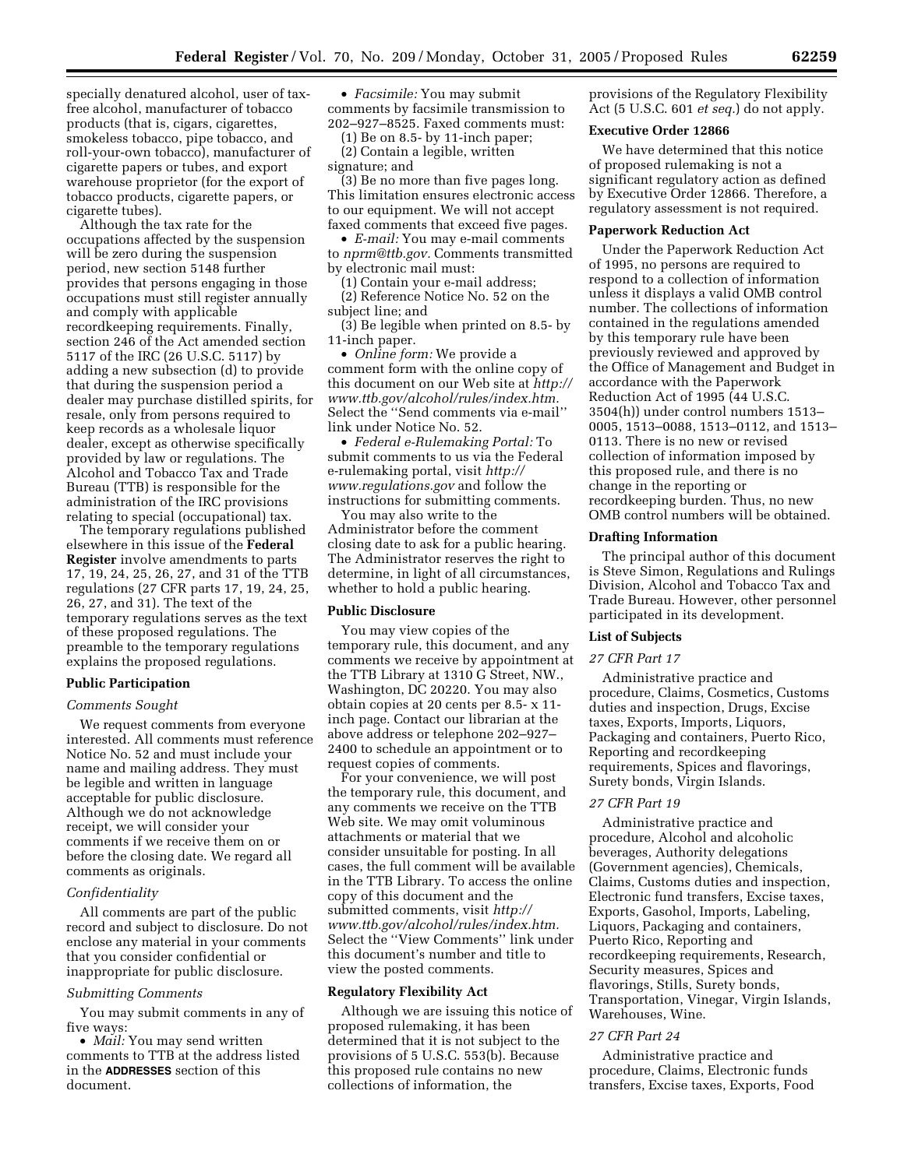specially denatured alcohol, user of taxfree alcohol, manufacturer of tobacco products (that is, cigars, cigarettes, smokeless tobacco, pipe tobacco, and roll-your-own tobacco), manufacturer of cigarette papers or tubes, and export warehouse proprietor (for the export of tobacco products, cigarette papers, or cigarette tubes).

Although the tax rate for the occupations affected by the suspension will be zero during the suspension period, new section 5148 further provides that persons engaging in those occupations must still register annually and comply with applicable recordkeeping requirements. Finally, section 246 of the Act amended section 5117 of the IRC (26 U.S.C. 5117) by adding a new subsection (d) to provide that during the suspension period a dealer may purchase distilled spirits, for resale, only from persons required to keep records as a wholesale liquor dealer, except as otherwise specifically provided by law or regulations. The Alcohol and Tobacco Tax and Trade Bureau (TTB) is responsible for the administration of the IRC provisions relating to special (occupational) tax.

The temporary regulations published elsewhere in this issue of the **Federal Register** involve amendments to parts 17, 19, 24, 25, 26, 27, and 31 of the TTB regulations (27 CFR parts 17, 19, 24, 25, 26, 27, and 31). The text of the temporary regulations serves as the text of these proposed regulations. The preamble to the temporary regulations explains the proposed regulations.

### **Public Participation**

## *Comments Sought*

We request comments from everyone interested. All comments must reference Notice No. 52 and must include your name and mailing address. They must be legible and written in language acceptable for public disclosure. Although we do not acknowledge receipt, we will consider your comments if we receive them on or before the closing date. We regard all comments as originals.

#### *Confidentiality*

All comments are part of the public record and subject to disclosure. Do not enclose any material in your comments that you consider confidential or inappropriate for public disclosure.

#### *Submitting Comments*

You may submit comments in any of five ways:

• *Mail:* You may send written comments to TTB at the address listed in the **ADDRESSES** section of this document.

• *Facsimile:* You may submit comments by facsimile transmission to 202–927–8525. Faxed comments must:

(1) Be on 8.5- by 11-inch paper; (2) Contain a legible, written signature; and

(3) Be no more than five pages long. This limitation ensures electronic access to our equipment. We will not accept faxed comments that exceed five pages.

• *E-mail:* You may e-mail comments to *nprm@ttb.gov.* Comments transmitted by electronic mail must:

(1) Contain your e-mail address; (2) Reference Notice No. 52 on the subject line; and

(3) Be legible when printed on 8.5- by 11-inch paper.

• *Online form:* We provide a comment form with the online copy of this document on our Web site at *http:// www.ttb.gov/alcohol/rules/index.htm.*  Select the ''Send comments via e-mail'' link under Notice No. 52.

• *Federal e-Rulemaking Portal:* To submit comments to us via the Federal e-rulemaking portal, visit *http:// www.regulations.gov* and follow the instructions for submitting comments.

You may also write to the Administrator before the comment closing date to ask for a public hearing. The Administrator reserves the right to determine, in light of all circumstances, whether to hold a public hearing.

### **Public Disclosure**

You may view copies of the temporary rule, this document, and any comments we receive by appointment at the TTB Library at 1310 G Street, NW., Washington, DC 20220. You may also obtain copies at 20 cents per 8.5- x 11 inch page. Contact our librarian at the above address or telephone 202–927– 2400 to schedule an appointment or to request copies of comments.

For your convenience, we will post the temporary rule, this document, and any comments we receive on the TTB Web site. We may omit voluminous attachments or material that we consider unsuitable for posting. In all cases, the full comment will be available in the TTB Library. To access the online copy of this document and the submitted comments, visit *http:// www.ttb.gov/alcohol/rules/index.htm.*  Select the ''View Comments'' link under this document's number and title to view the posted comments.

#### **Regulatory Flexibility Act**

Although we are issuing this notice of proposed rulemaking, it has been determined that it is not subject to the provisions of 5 U.S.C. 553(b). Because this proposed rule contains no new collections of information, the

provisions of the Regulatory Flexibility Act (5 U.S.C. 601 *et seq.*) do not apply.

## **Executive Order 12866**

We have determined that this notice of proposed rulemaking is not a significant regulatory action as defined by Executive Order 12866. Therefore, a regulatory assessment is not required.

## **Paperwork Reduction Act**

Under the Paperwork Reduction Act of 1995, no persons are required to respond to a collection of information unless it displays a valid OMB control number. The collections of information contained in the regulations amended by this temporary rule have been previously reviewed and approved by the Office of Management and Budget in accordance with the Paperwork Reduction Act of 1995 (44 U.S.C. 3504(h)) under control numbers 1513– 0005, 1513–0088, 1513–0112, and 1513– 0113. There is no new or revised collection of information imposed by this proposed rule, and there is no change in the reporting or recordkeeping burden. Thus, no new OMB control numbers will be obtained.

### **Drafting Information**

The principal author of this document is Steve Simon, Regulations and Rulings Division, Alcohol and Tobacco Tax and Trade Bureau. However, other personnel participated in its development.

#### **List of Subjects**

#### *27 CFR Part 17*

Administrative practice and procedure, Claims, Cosmetics, Customs duties and inspection, Drugs, Excise taxes, Exports, Imports, Liquors, Packaging and containers, Puerto Rico, Reporting and recordkeeping requirements, Spices and flavorings, Surety bonds, Virgin Islands.

## *27 CFR Part 19*

Administrative practice and procedure, Alcohol and alcoholic beverages, Authority delegations (Government agencies), Chemicals, Claims, Customs duties and inspection, Electronic fund transfers, Excise taxes, Exports, Gasohol, Imports, Labeling, Liquors, Packaging and containers, Puerto Rico, Reporting and recordkeeping requirements, Research, Security measures, Spices and flavorings, Stills, Surety bonds, Transportation, Vinegar, Virgin Islands, Warehouses, Wine.

## *27 CFR Part 24*

Administrative practice and procedure, Claims, Electronic funds transfers, Excise taxes, Exports, Food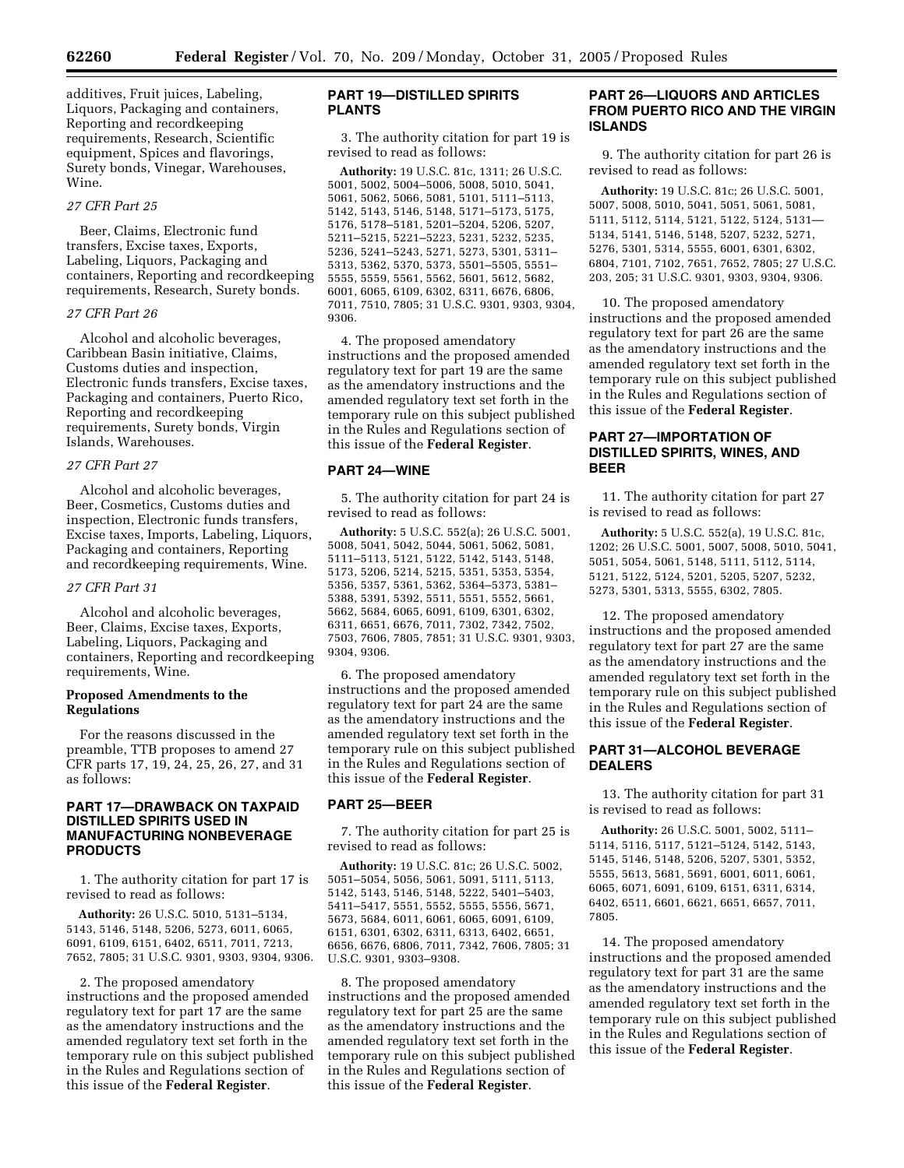additives, Fruit juices, Labeling, Liquors, Packaging and containers, Reporting and recordkeeping requirements, Research, Scientific equipment, Spices and flavorings, Surety bonds, Vinegar, Warehouses, Wine.

#### *27 CFR Part 25*

Beer, Claims, Electronic fund transfers, Excise taxes, Exports, Labeling, Liquors, Packaging and containers, Reporting and recordkeeping requirements, Research, Surety bonds.

### *27 CFR Part 26*

Alcohol and alcoholic beverages, Caribbean Basin initiative, Claims, Customs duties and inspection, Electronic funds transfers, Excise taxes, Packaging and containers, Puerto Rico, Reporting and recordkeeping requirements, Surety bonds, Virgin Islands, Warehouses.

### *27 CFR Part 27*

Alcohol and alcoholic beverages, Beer, Cosmetics, Customs duties and inspection, Electronic funds transfers, Excise taxes, Imports, Labeling, Liquors, Packaging and containers, Reporting and recordkeeping requirements, Wine.

#### *27 CFR Part 31*

Alcohol and alcoholic beverages, Beer, Claims, Excise taxes, Exports, Labeling, Liquors, Packaging and containers, Reporting and recordkeeping requirements, Wine.

# **Proposed Amendments to the Regulations**

For the reasons discussed in the preamble, TTB proposes to amend 27 CFR parts 17, 19, 24, 25, 26, 27, and 31 as follows:

# **PART 17—DRAWBACK ON TAXPAID DISTILLED SPIRITS USED IN MANUFACTURING NONBEVERAGE PRODUCTS**

1. The authority citation for part 17 is revised to read as follows:

**Authority:** 26 U.S.C. 5010, 5131–5134, 5143, 5146, 5148, 5206, 5273, 6011, 6065, 6091, 6109, 6151, 6402, 6511, 7011, 7213, 7652, 7805; 31 U.S.C. 9301, 9303, 9304, 9306.

2. The proposed amendatory instructions and the proposed amended regulatory text for part 17 are the same as the amendatory instructions and the amended regulatory text set forth in the temporary rule on this subject published in the Rules and Regulations section of this issue of the **Federal Register**.

# **PART 19—DISTILLED SPIRITS PLANTS**

3. The authority citation for part 19 is revised to read as follows:

**Authority:** 19 U.S.C. 81c, 1311; 26 U.S.C. 5001, 5002, 5004–5006, 5008, 5010, 5041, 5061, 5062, 5066, 5081, 5101, 5111–5113, 5142, 5143, 5146, 5148, 5171–5173, 5175, 5176, 5178–5181, 5201–5204, 5206, 5207, 5211–5215, 5221–5223, 5231, 5232, 5235, 5236, 5241–5243, 5271, 5273, 5301, 5311– 5313, 5362, 5370, 5373, 5501–5505, 5551– 5555, 5559, 5561, 5562, 5601, 5612, 5682, 6001, 6065, 6109, 6302, 6311, 6676, 6806, 7011, 7510, 7805; 31 U.S.C. 9301, 9303, 9304, 9306.

4. The proposed amendatory instructions and the proposed amended regulatory text for part 19 are the same as the amendatory instructions and the amended regulatory text set forth in the temporary rule on this subject published in the Rules and Regulations section of this issue of the **Federal Register**.

### **PART 24—WINE**

5. The authority citation for part 24 is revised to read as follows:

**Authority:** 5 U.S.C. 552(a); 26 U.S.C. 5001, 5008, 5041, 5042, 5044, 5061, 5062, 5081, 5111–5113, 5121, 5122, 5142, 5143, 5148, 5173, 5206, 5214, 5215, 5351, 5353, 5354, 5356, 5357, 5361, 5362, 5364–5373, 5381– 5388, 5391, 5392, 5511, 5551, 5552, 5661, 5662, 5684, 6065, 6091, 6109, 6301, 6302, 6311, 6651, 6676, 7011, 7302, 7342, 7502, 7503, 7606, 7805, 7851; 31 U.S.C. 9301, 9303, 9304, 9306.

6. The proposed amendatory instructions and the proposed amended regulatory text for part 24 are the same as the amendatory instructions and the amended regulatory text set forth in the temporary rule on this subject published in the Rules and Regulations section of this issue of the **Federal Register**.

### **PART 25—BEER**

7. The authority citation for part 25 is revised to read as follows:

**Authority:** 19 U.S.C. 81c; 26 U.S.C. 5002, 5051–5054, 5056, 5061, 5091, 5111, 5113, 5142, 5143, 5146, 5148, 5222, 5401–5403, 5411–5417, 5551, 5552, 5555, 5556, 5671, 5673, 5684, 6011, 6061, 6065, 6091, 6109, 6151, 6301, 6302, 6311, 6313, 6402, 6651, 6656, 6676, 6806, 7011, 7342, 7606, 7805; 31 U.S.C. 9301, 9303–9308.

8. The proposed amendatory instructions and the proposed amended regulatory text for part 25 are the same as the amendatory instructions and the amended regulatory text set forth in the temporary rule on this subject published in the Rules and Regulations section of this issue of the **Federal Register**.

# **PART 26—LIQUORS AND ARTICLES FROM PUERTO RICO AND THE VIRGIN ISLANDS**

9. The authority citation for part 26 is revised to read as follows:

**Authority:** 19 U.S.C. 81c; 26 U.S.C. 5001, 5007, 5008, 5010, 5041, 5051, 5061, 5081, 5111, 5112, 5114, 5121, 5122, 5124, 5131— 5134, 5141, 5146, 5148, 5207, 5232, 5271, 5276, 5301, 5314, 5555, 6001, 6301, 6302, 6804, 7101, 7102, 7651, 7652, 7805; 27 U.S.C. 203, 205; 31 U.S.C. 9301, 9303, 9304, 9306.

10. The proposed amendatory instructions and the proposed amended regulatory text for part 26 are the same as the amendatory instructions and the amended regulatory text set forth in the temporary rule on this subject published in the Rules and Regulations section of this issue of the **Federal Register**.

# **PART 27—IMPORTATION OF DISTILLED SPIRITS, WINES, AND BEER**

11. The authority citation for part 27 is revised to read as follows:

**Authority:** 5 U.S.C. 552(a), 19 U.S.C. 81c, 1202; 26 U.S.C. 5001, 5007, 5008, 5010, 5041, 5051, 5054, 5061, 5148, 5111, 5112, 5114, 5121, 5122, 5124, 5201, 5205, 5207, 5232, 5273, 5301, 5313, 5555, 6302, 7805.

12. The proposed amendatory instructions and the proposed amended regulatory text for part 27 are the same as the amendatory instructions and the amended regulatory text set forth in the temporary rule on this subject published in the Rules and Regulations section of this issue of the **Federal Register**.

## **PART 31—ALCOHOL BEVERAGE DEALERS**

13. The authority citation for part 31 is revised to read as follows:

**Authority:** 26 U.S.C. 5001, 5002, 5111– 5114, 5116, 5117, 5121–5124, 5142, 5143, 5145, 5146, 5148, 5206, 5207, 5301, 5352, 5555, 5613, 5681, 5691, 6001, 6011, 6061, 6065, 6071, 6091, 6109, 6151, 6311, 6314, 6402, 6511, 6601, 6621, 6651, 6657, 7011, 7805.

14. The proposed amendatory instructions and the proposed amended regulatory text for part 31 are the same as the amendatory instructions and the amended regulatory text set forth in the temporary rule on this subject published in the Rules and Regulations section of this issue of the **Federal Register**.